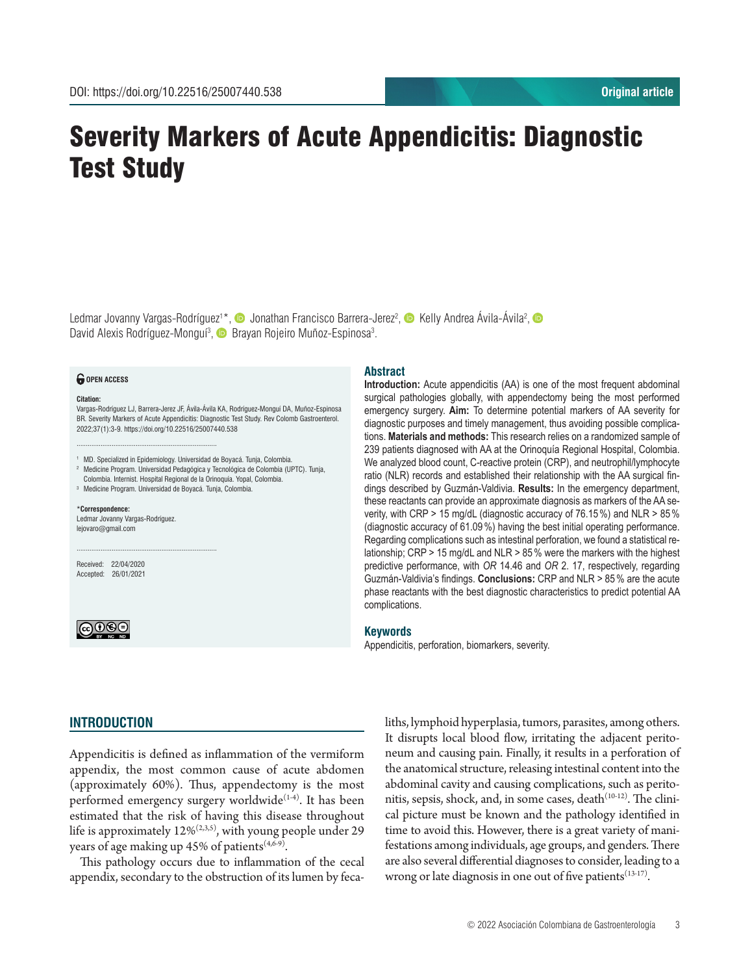# Severity Markers of Acute Appendicitis: Diagnostic Test Study

Ledmar Jovanny Vargas-Rodríguez<sup>1\*</sup>, © Jonathan Francisco Barrera-Jerez<sup>2</sup>, © Kelly Andrea Avila-Avila<sup>2</sup>, David Alexis Rodríguez-Monguí<sup>3</sup>, **D** Brayan Rojeiro Muñoz-Espinosa<sup>3</sup>.

#### *<u>O</del>* OPEN ACCESS</u>

#### **Citation:**

Vargas-Rodríguez LJ, Barrera-Jerez JF, Ávila-Ávila KA, Rodríguez-Monguí DA, Muñoz-Espinosa BR. Severity Markers of Acute Appendicitis: Diagnostic Test Study. Rev Colomb Gastroenterol. 2022;37(1):3-9. https://doi.org/10.22516/25007440.538

<sup>1</sup> MD. Specialized in Epidemiology. Universidad de Boyacá. Tunja, Colombia.

<sup>2</sup> Medicine Program. Universidad Pedagógica y Tecnológica de Colombia (UPTC). Tunja, Colombia. Internist. Hospital Regional de la Orinoquía. Yopal, Colombia.

<sup>3</sup> Medicine Program. Universidad de Boyacá. Tunja, Colombia.

............................................................................

............................................................................

#### \***Correspondence:** Ledmar Jovanny Vargas-Rodríguez.

lejovaro@gmail.com

Received: 22/04/2020 Accepted: 26/01/2021



## **Abstract**

**Introduction:** Acute appendicitis (AA) is one of the most frequent abdominal surgical pathologies globally, with appendectomy being the most performed emergency surgery. **Aim:** To determine potential markers of AA severity for diagnostic purposes and timely management, thus avoiding possible complications. **Materials and methods:** This research relies on a randomized sample of 239 patients diagnosed with AA at the Orinoquía Regional Hospital, Colombia. We analyzed blood count, C-reactive protein (CRP), and neutrophil/lymphocyte ratio (NLR) records and established their relationship with the AA surgical findings described by Guzmán-Valdivia. **Results:** In the emergency department, these reactants can provide an approximate diagnosis as markers of the AA severity, with CRP > 15 mg/dL (diagnostic accuracy of 76.15%) and NLR > 85% (diagnostic accuracy of 61.09%) having the best initial operating performance. Regarding complications such as intestinal perforation, we found a statistical relationship; CRP > 15 mg/dL and NLR > 85% were the markers with the highest predictive performance, with *OR* 14.46 and *OR* 2. 17, respectively, regarding Guzmán-Valdivia's findings. **Conclusions:** CRP and NLR > 85% are the acute phase reactants with the best diagnostic characteristics to predict potential AA complications.

#### **Keywords**

Appendicitis, perforation, biomarkers, severity.

## **INTRODUCTION**

Appendicitis is defined as inflammation of the vermiform appendix, the most common cause of acute abdomen (approximately 60%). Thus, appendectomy is the most performed emergency surgery worldwide<sup>(1-4)</sup>. It has been estimated that the risk of having this disease throughout life is approximately  $12\%^{(2,3,5)}$ , with young people under 29 years of age making up 45% of patients $(4,6-9)$ .

This pathology occurs due to inflammation of the cecal appendix, secondary to the obstruction of its lumen by fecaliths, lymphoid hyperplasia, tumors, parasites, among others. It disrupts local blood flow, irritating the adjacent peritoneum and causing pain. Finally, it results in a perforation of the anatomical structure, releasing intestinal content into the abdominal cavity and causing complications, such as peritonitis, sepsis, shock, and, in some cases,  $death^{(10-12)}$ . The clinical picture must be known and the pathology identified in time to avoid this. However, there is a great variety of manifestations among individuals, age groups, and genders. There are also several differential diagnoses to consider, leading to a wrong or late diagnosis in one out of five patients<sup>(13-17)</sup>.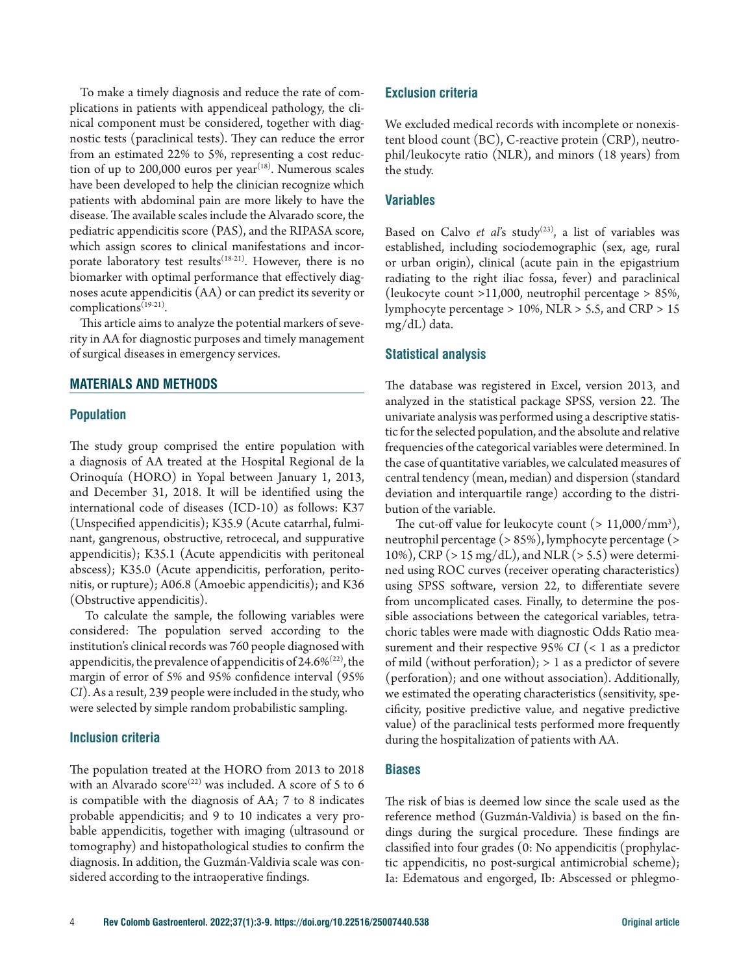To make a timely diagnosis and reduce the rate of complications in patients with appendiceal pathology, the clinical component must be considered, together with diagnostic tests (paraclinical tests). They can reduce the error from an estimated 22% to 5%, representing a cost reduction of up to  $200,000$  euros per year<sup> $(18)$ </sup>. Numerous scales have been developed to help the clinician recognize which patients with abdominal pain are more likely to have the disease. The available scales include the Alvarado score, the pediatric appendicitis score (PAS), and the RIPASA score, which assign scores to clinical manifestations and incorporate laboratory test results<sup> $(18-21)$ </sup>. However, there is no biomarker with optimal performance that effectively diagnoses acute appendicitis (AA) or can predict its severity or complications(19-21).

This article aims to analyze the potential markers of severity in AA for diagnostic purposes and timely management of surgical diseases in emergency services.

#### **MATERIALS AND METHODS**

#### **Population**

The study group comprised the entire population with a diagnosis of AA treated at the Hospital Regional de la Orinoquía (HORO) in Yopal between January 1, 2013, and December 31, 2018. It will be identified using the international code of diseases (ICD-10) as follows: K37 (Unspecified appendicitis); K35.9 (Acute catarrhal, fulminant, gangrenous, obstructive, retrocecal, and suppurative appendicitis); K35.1 (Acute appendicitis with peritoneal abscess); K35.0 (Acute appendicitis, perforation, peritonitis, or rupture); A06.8 (Amoebic appendicitis); and K36 (Obstructive appendicitis).

 To calculate the sample, the following variables were considered: The population served according to the institution's clinical records was 760 people diagnosed with appendicitis, the prevalence of appendicitis of 24.6% $(22)$ , the margin of error of 5% and 95% confidence interval (95% *CI*). As a result, 239 people were included in the study, who were selected by simple random probabilistic sampling.

## **Inclusion criteria**

The population treated at the HORO from 2013 to 2018 with an Alvarado score<sup>(22)</sup> was included. A score of 5 to 6 is compatible with the diagnosis of AA; 7 to 8 indicates probable appendicitis; and 9 to 10 indicates a very probable appendicitis, together with imaging (ultrasound or tomography) and histopathological studies to confirm the diagnosis. In addition, the Guzmán-Valdivia scale was considered according to the intraoperative findings.

#### **Exclusion criteria**

We excluded medical records with incomplete or nonexistent blood count (BC), C-reactive protein (CRP), neutrophil/leukocyte ratio (NLR), and minors (18 years) from the study.

## **Variables**

Based on Calvo *et al's* study<sup>(23)</sup>, a list of variables was established, including sociodemographic (sex, age, rural or urban origin), clinical (acute pain in the epigastrium radiating to the right iliac fossa, fever) and paraclinical (leukocyte count >11,000, neutrophil percentage > 85%, lymphocyte percentage > 10%, NLR > 5.5, and CRP > 15 mg/dL) data.

#### **Statistical analysis**

The database was registered in Excel, version 2013, and analyzed in the statistical package SPSS, version 22. The univariate analysis was performed using a descriptive statistic for the selected population, and the absolute and relative frequencies of the categorical variables were determined. In the case of quantitative variables, we calculated measures of central tendency (mean, median) and dispersion (standard deviation and interquartile range) according to the distribution of the variable.

The cut-off value for leukocyte count  $(> 11,000/mm^3)$ , neutrophil percentage (> 85%), lymphocyte percentage (> 10%), CRP (> 15 mg/dL), and NLR (> 5.5) were determined using ROC curves (receiver operating characteristics) using SPSS software, version 22, to differentiate severe from uncomplicated cases. Finally, to determine the possible associations between the categorical variables, tetrachoric tables were made with diagnostic Odds Ratio measurement and their respective 95% *CI* (< 1 as a predictor of mild (without perforation); > 1 as a predictor of severe (perforation); and one without association). Additionally, we estimated the operating characteristics (sensitivity, specificity, positive predictive value, and negative predictive value) of the paraclinical tests performed more frequently during the hospitalization of patients with AA.

## **Biases**

The risk of bias is deemed low since the scale used as the reference method (Guzmán-Valdivia) is based on the findings during the surgical procedure. These findings are classified into four grades (0: No appendicitis (prophylactic appendicitis, no post-surgical antimicrobial scheme); Ia: Edematous and engorged, Ib: Abscessed or phlegmo-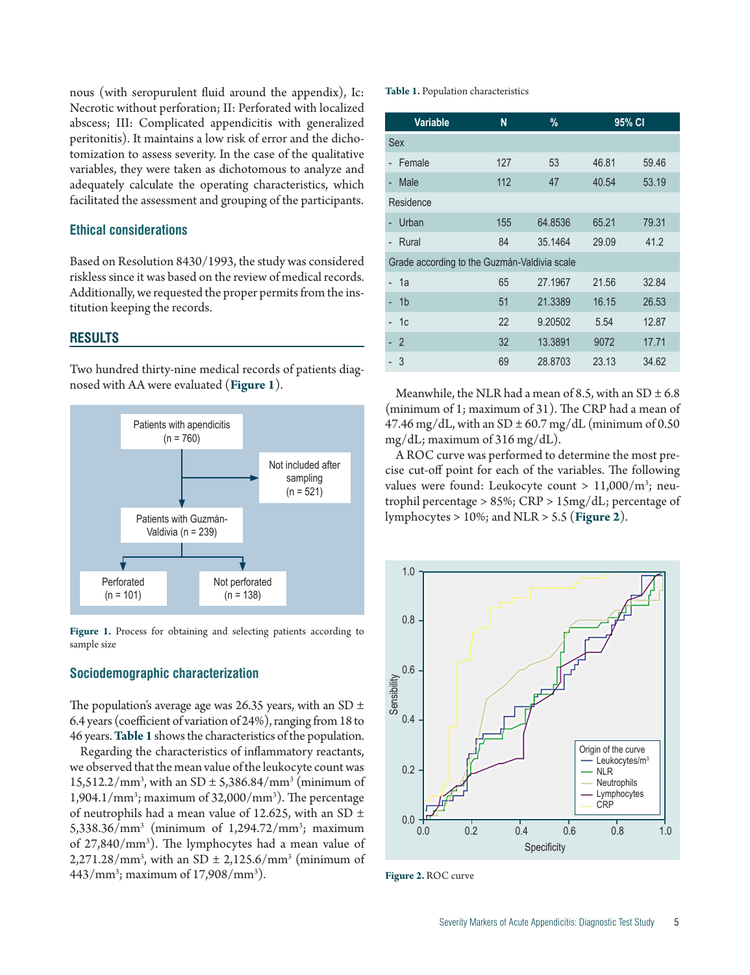nous (with seropurulent fluid around the appendix), Ic: Necrotic without perforation; II: Perforated with localized abscess; III: Complicated appendicitis with generalized peritonitis). It maintains a low risk of error and the dichotomization to assess severity. In the case of the qualitative variables, they were taken as dichotomous to analyze and adequately calculate the operating characteristics, which facilitated the assessment and grouping of the participants.

# **Ethical considerations**

Based on Resolution 8430/1993, the study was considered riskless since it was based on the review of medical records. Additionally, we requested the proper permits from the institution keeping the records.

# **RESULTS**

Two hundred thirty-nine medical records of patients diagnosed with AA were evaluated (**Figure 1**).



Figure 1. Process for obtaining and selecting patients according to sample size

## **Sociodemographic characterization**

The population's average age was 26.35 years, with an SD  $\pm$ 6.4 years (coefficient of variation of 24%), ranging from 18 to 46 years. **Table 1** shows the characteristics of the population.

Regarding the characteristics of inflammatory reactants, we observed that the mean value of the leukocyte count was  $15,512.2/\text{mm}^3$ , with an SD  $\pm$  5,386.84/mm<sup>3</sup> (minimum of  $1,904.1/\text{mm}^3$ ; maximum of 32,000/mm<sup>3</sup>). The percentage of neutrophils had a mean value of 12.625, with an SD  $\pm$ 5,338.36/mm3 (minimum of 1,294.72/mm3 ; maximum of 27,840/mm3 ). The lymphocytes had a mean value of  $2,271.28/\text{mm}^3$ , with an SD  $\pm 2,125.6/\text{mm}^3$  (minimum of 443/mm3 ; maximum of 17,908/mm3 ).

#### **Table 1.** Population characteristics

| <b>Variable</b>                              | N   | %       | 95% CI |       |  |  |
|----------------------------------------------|-----|---------|--------|-------|--|--|
| <b>Sex</b>                                   |     |         |        |       |  |  |
| Female                                       | 127 | 53      | 46.81  | 59.46 |  |  |
| Male<br>÷.                                   | 112 | 47      | 40.54  | 53.19 |  |  |
| Residence                                    |     |         |        |       |  |  |
| Urban                                        | 155 | 64.8536 | 65.21  | 79.31 |  |  |
| Rural                                        | 84  | 35.1464 | 29.09  | 41.2  |  |  |
| Grade according to the Guzmán-Valdivia scale |     |         |        |       |  |  |
| 1a                                           | 65  | 27.1967 | 21.56  | 32.84 |  |  |
| 1 <sub>b</sub>                               | 51  | 21.3389 | 16.15  | 26.53 |  |  |
| 1c                                           | 22  | 9.20502 | 5.54   | 12.87 |  |  |
| $\overline{2}$                               | 32  | 13.3891 | 9072   | 17.71 |  |  |
| 3                                            | 69  | 28.8703 | 23.13  | 34.62 |  |  |

Meanwhile, the NLR had a mean of 8.5, with an SD  $\pm$  6.8 (minimum of 1; maximum of 31). The CRP had a mean of 47.46 mg/dL, with an SD  $\pm$  60.7 mg/dL (minimum of 0.50 mg/dL; maximum of 316 mg/dL).

A ROC curve was performed to determine the most precise cut-off point for each of the variables. The following values were found: Leukocyte count >  $11,000/m^3$ ; neutrophil percentage > 85%; CRP > 15mg/dL; percentage of lymphocytes > 10%; and NLR > 5.5 (**Figure 2**).



**Figure 2.** ROC curve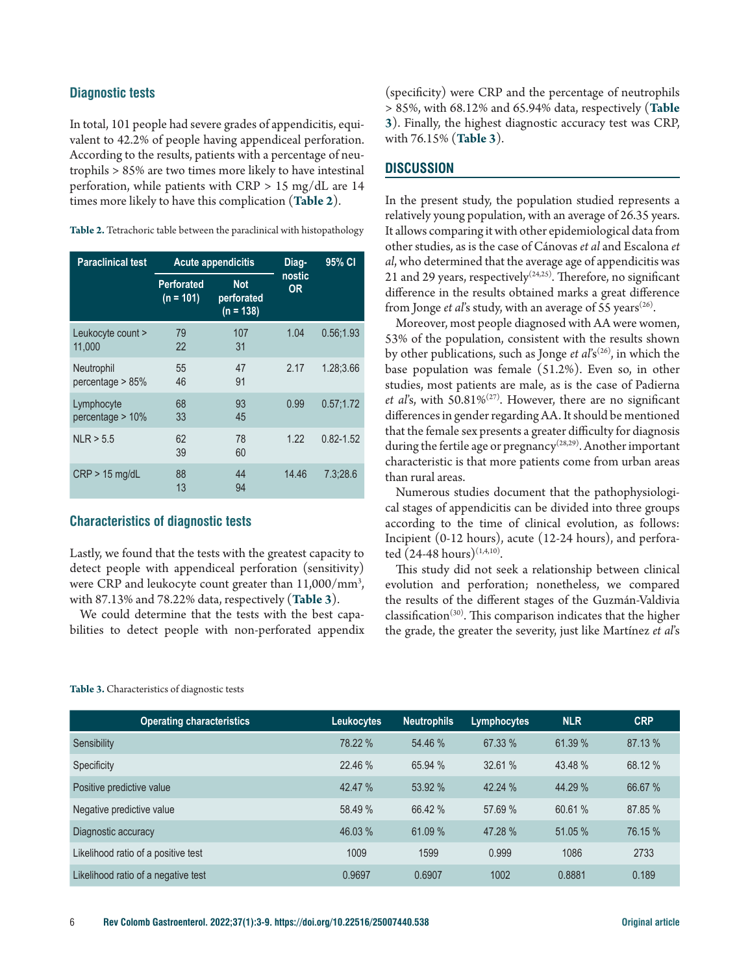## **Diagnostic tests**

In total, 101 people had severe grades of appendicitis, equivalent to 42.2% of people having appendiceal perforation. According to the results, patients with a percentage of neutrophils > 85% are two times more likely to have intestinal perforation, while patients with CRP > 15 mg/dL are 14 times more likely to have this complication (**Table 2**).

| Table 2. Tetrachoric table between the paraclinical with histopathology |  |  |
|-------------------------------------------------------------------------|--|--|
|-------------------------------------------------------------------------|--|--|

| <b>Paraclinical test</b>          | <b>Acute appendicitis</b>        |                                         |                     | 95% CI        |
|-----------------------------------|----------------------------------|-----------------------------------------|---------------------|---------------|
|                                   | <b>Perforated</b><br>$(n = 101)$ | <b>Not</b><br>perforated<br>$(n = 138)$ | nostic<br><b>OR</b> |               |
| Leukocyte count ><br>11,000       | 79<br>22                         | 107<br>31                               | 1.04                | 0.56:1.93     |
| Neutrophil<br>percentage $> 85\%$ | 55<br>46                         | 47<br>91                                | 2.17                | 1.28:3.66     |
| Lymphocyte<br>percentage $> 10\%$ | 68<br>33                         | 93<br>45                                | 0.99                | 0.57:1.72     |
| NLR > 5.5                         | 62<br>39                         | 78<br>60                                | 1.22                | $0.82 - 1.52$ |
| $CRP > 15$ mg/dL                  | 88<br>13                         | 44<br>94                                | 14.46               | 7.3:28.6      |

## **Characteristics of diagnostic tests**

Lastly, we found that the tests with the greatest capacity to detect people with appendiceal perforation (sensitivity) were CRP and leukocyte count greater than 11,000/mm3 , with 87.13% and 78.22% data, respectively (**Table 3**).

We could determine that the tests with the best capabilities to detect people with non-perforated appendix (specificity) were CRP and the percentage of neutrophils > 85%, with 68.12% and 65.94% data, respectively (**Table 3**). Finally, the highest diagnostic accuracy test was CRP, with 76.15% (**Table 3**).

## **DISCUSSION**

In the present study, the population studied represents a relatively young population, with an average of 26.35 years. It allows comparing it with other epidemiological data from other studies, as is the case of Cánovas *et al* and Escalona *et al*, who determined that the average age of appendicitis was 21 and 29 years, respectively<sup> $(24,25)$ </sup>. Therefore, no significant difference in the results obtained marks a great difference from Jonge *et al's* study, with an average of 55 years<sup> $(26)$ </sup>.

Moreover, most people diagnosed with AA were women, 53% of the population, consistent with the results shown by other publications, such as Jonge *et al*'s<sup>(26)</sup>, in which the base population was female (51.2%). Even so, in other studies, most patients are male, as is the case of Padierna *et al*'s, with 50.81%(27). However, there are no significant differences in gender regarding AA. It should be mentioned that the female sex presents a greater difficulty for diagnosis during the fertile age or pregnancy<sup>(28,29)</sup>. Another important characteristic is that more patients come from urban areas than rural areas.

Numerous studies document that the pathophysiological stages of appendicitis can be divided into three groups according to the time of clinical evolution, as follows: Incipient (0-12 hours), acute (12-24 hours), and perforated  $(24-48 \text{ hours})^{(1,4,10)}$ .

This study did not seek a relationship between clinical evolution and perforation; nonetheless, we compared the results of the different stages of the Guzmán-Valdivia classification(30). This comparison indicates that the higher the grade, the greater the severity, just like Martínez *et al*'s

| <b>Operating characteristics</b>    | <b>Leukocytes</b> | Neutrophils | Lymphocytes | <b>NLR</b> | <b>CRP</b> |
|-------------------------------------|-------------------|-------------|-------------|------------|------------|
| Sensibility                         | 78.22 %           | 54.46 %     | 67.33 %     | 61.39%     | 87.13 %    |
| Specificity                         | 22.46 %           | 65.94 %     | 32.61 %     | 43.48 %    | 68.12 %    |
| Positive predictive value           | 42.47 %           | 53.92 %     | 42.24 %     | 44.29 %    | 66.67 %    |
| Negative predictive value           | 58.49 %           | 66.42 %     | 57.69 %     | 60.61 %    | 87.85 %    |
| Diagnostic accuracy                 | 46.03 %           | 61.09 %     | 47.28%      | 51.05 %    | 76.15 %    |
| Likelihood ratio of a positive test | 1009              | 1599        | 0.999       | 1086       | 2733       |
| Likelihood ratio of a negative test | 0.9697            | 0.6907      | 1002        | 0.8881     | 0.189      |

#### **Table 3.** Characteristics of diagnostic tests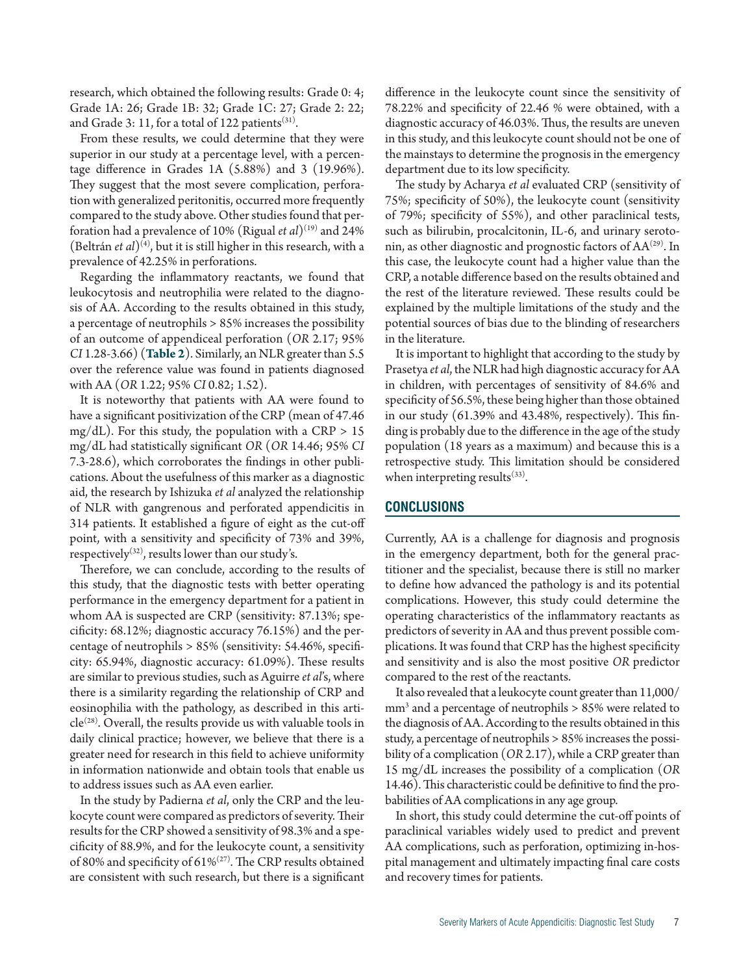research, which obtained the following results: Grade 0: 4; Grade 1A: 26; Grade 1B: 32; Grade 1C: 27; Grade 2: 22; and Grade 3: 11, for a total of 122 patients $(31)$ .

From these results, we could determine that they were superior in our study at a percentage level, with a percentage difference in Grades 1A (5.88%) and 3 (19.96%). They suggest that the most severe complication, perforation with generalized peritonitis, occurred more frequently compared to the study above. Other studies found that perforation had a prevalence of 10% (Rigual *et al*)(19) and 24% (Beltrán *et al*)(4), but it is still higher in this research, with a prevalence of 42.25% in perforations.

Regarding the inflammatory reactants, we found that leukocytosis and neutrophilia were related to the diagnosis of AA. According to the results obtained in this study, a percentage of neutrophils > 85% increases the possibility of an outcome of appendiceal perforation (*OR* 2.17; 95% *CI* 1.28-3.66) (**Table 2**). Similarly, an NLR greater than 5.5 over the reference value was found in patients diagnosed with AA (*OR* 1.22; 95% *CI* 0.82; 1.52).

It is noteworthy that patients with AA were found to have a significant positivization of the CRP (mean of 47.46 mg/dL). For this study, the population with a CRP  $> 15$ mg/dL had statistically significant *OR* (*OR* 14.46; 95% *CI* 7.3-28.6), which corroborates the findings in other publications. About the usefulness of this marker as a diagnostic aid, the research by Ishizuka *et al* analyzed the relationship of NLR with gangrenous and perforated appendicitis in 314 patients. It established a figure of eight as the cut-off point, with a sensitivity and specificity of 73% and 39%, respectively<sup>(32)</sup>, results lower than our study's.

Therefore, we can conclude, according to the results of this study, that the diagnostic tests with better operating performance in the emergency department for a patient in whom AA is suspected are CRP (sensitivity: 87.13%; specificity: 68.12%; diagnostic accuracy 76.15%) and the percentage of neutrophils > 85% (sensitivity: 54.46%, specificity: 65.94%, diagnostic accuracy: 61.09%). These results are similar to previous studies, such as Aguirre *et al*'s, where there is a similarity regarding the relationship of CRP and eosinophilia with the pathology, as described in this arti $cle^{(28)}$ . Overall, the results provide us with valuable tools in daily clinical practice; however, we believe that there is a greater need for research in this field to achieve uniformity in information nationwide and obtain tools that enable us to address issues such as AA even earlier.

In the study by Padierna *et al*, only the CRP and the leukocyte count were compared as predictors of severity. Their results for the CRP showed a sensitivity of 98.3% and a specificity of 88.9%, and for the leukocyte count, a sensitivity of 80% and specificity of 61% $(27)$ . The CRP results obtained are consistent with such research, but there is a significant difference in the leukocyte count since the sensitivity of 78.22% and specificity of 22.46 % were obtained, with a diagnostic accuracy of 46.03%. Thus, the results are uneven in this study, and this leukocyte count should not be one of the mainstays to determine the prognosis in the emergency department due to its low specificity.

The study by Acharya *et al* evaluated CRP (sensitivity of 75%; specificity of 50%), the leukocyte count (sensitivity of 79%; specificity of 55%), and other paraclinical tests, such as bilirubin, procalcitonin, IL-6, and urinary serotonin, as other diagnostic and prognostic factors of  $AA<sup>(29)</sup>$ . In this case, the leukocyte count had a higher value than the CRP, a notable difference based on the results obtained and the rest of the literature reviewed. These results could be explained by the multiple limitations of the study and the potential sources of bias due to the blinding of researchers in the literature.

It is important to highlight that according to the study by Prasetya *et al*, the NLR had high diagnostic accuracy for AA in children, with percentages of sensitivity of 84.6% and specificity of 56.5%, these being higher than those obtained in our study (61.39% and 43.48%, respectively). This finding is probably due to the difference in the age of the study population (18 years as a maximum) and because this is a retrospective study. This limitation should be considered when interpreting results $(33)$ .

## **CONCLUSIONS**

Currently, AA is a challenge for diagnosis and prognosis in the emergency department, both for the general practitioner and the specialist, because there is still no marker to define how advanced the pathology is and its potential complications. However, this study could determine the operating characteristics of the inflammatory reactants as predictors of severity in AA and thus prevent possible complications. It was found that CRP has the highest specificity and sensitivity and is also the most positive *OR* predictor compared to the rest of the reactants.

It also revealed that a leukocyte count greater than 11,000/ mm3 and a percentage of neutrophils > 85% were related to the diagnosis of AA. According to the results obtained in this study, a percentage of neutrophils > 85% increases the possibility of a complication (*OR* 2.17), while a CRP greater than 15 mg/dL increases the possibility of a complication (*OR* 14.46). This characteristic could be definitive to find the probabilities of AA complications in any age group.

In short, this study could determine the cut-off points of paraclinical variables widely used to predict and prevent AA complications, such as perforation, optimizing in-hospital management and ultimately impacting final care costs and recovery times for patients.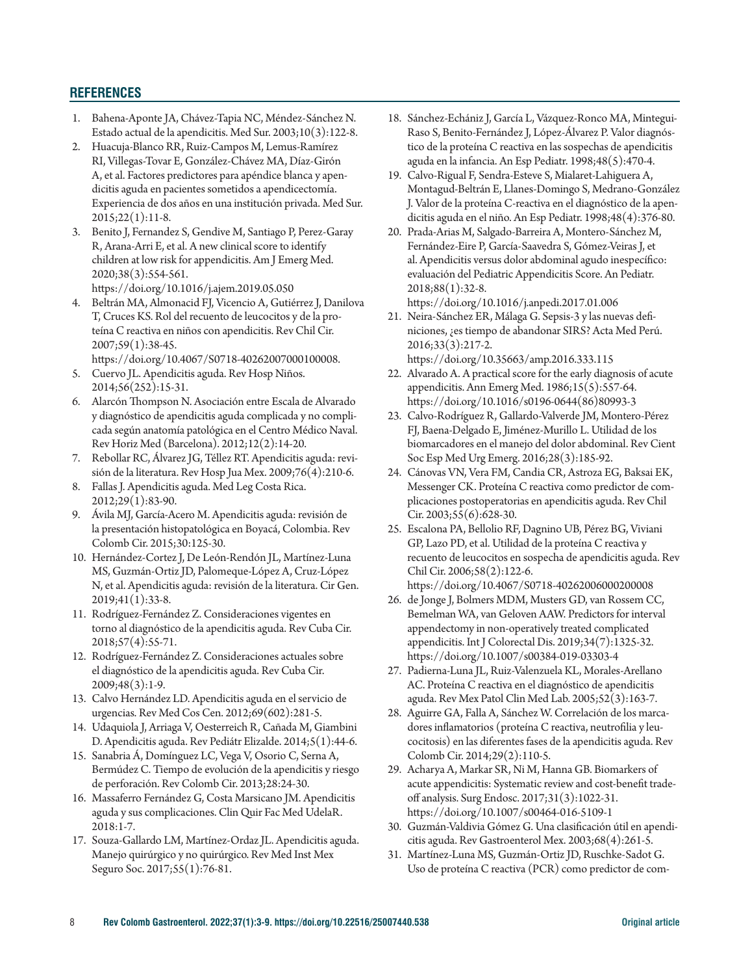# **REFERENCES**

- 1. Bahena-Aponte JA, Chávez-Tapia NC, Méndez-Sánchez N. Estado actual de la apendicitis. Med Sur. 2003;10(3):122-8.
- 2. Huacuja-Blanco RR, Ruiz-Campos M, Lemus-Ramírez RI, Villegas-Tovar E, González-Chávez MA, Díaz-Girón A, et al. Factores predictores para apéndice blanca y apendicitis aguda en pacientes sometidos a apendicectomía. Experiencia de dos años en una institución privada. Med Sur. 2015;22(1):11-8.
- 3. Benito J, Fernandez S, Gendive M, Santiago P, Perez-Garay R, Arana-Arri E, et al. A new clinical score to identify children at low risk for appendicitis. Am J Emerg Med. 2020;38(3):554-561. https://doi.org/10.1016/j.ajem.2019.05.050
- 4. Beltrán MA, Almonacid FJ, Vicencio A, Gutiérrez J, Danilova T, Cruces KS. Rol del recuento de leucocitos y de la proteína C reactiva en niños con apendicitis. Rev Chil Cir. 2007;59(1):38-45.
	- https://doi.org/10.4067/S0718-40262007000100008.
- 5. Cuervo JL. Apendicitis aguda. Rev Hosp Niños. 2014;56(252):15-31.
- 6. Alarcón Thompson N. Asociación entre Escala de Alvarado y diagnóstico de apendicitis aguda complicada y no complicada según anatomía patológica en el Centro Médico Naval. Rev Horiz Med (Barcelona). 2012;12(2):14-20.
- 7. Rebollar RC, Álvarez JG, Téllez RT. Apendicitis aguda: revisión de la literatura. Rev Hosp Jua Mex. 2009;76(4):210-6.
- 8. Fallas J. Apendicitis aguda. Med Leg Costa Rica. 2012;29(1):83-90.
- 9. Ávila MJ, García-Acero M. Apendicitis aguda: revisión de la presentación histopatológica en Boyacá, Colombia. Rev Colomb Cir. 2015;30:125-30.
- 10. Hernández-Cortez J, De León-Rendón JL, Martínez-Luna MS, Guzmán-Ortiz JD, Palomeque-López A, Cruz-López N, et al. Apendicitis aguda: revisión de la literatura. Cir Gen. 2019;41(1):33-8.
- 11. Rodríguez-Fernández Z. Consideraciones vigentes en torno al diagnóstico de la apendicitis aguda. Rev Cuba Cir. 2018;57(4):55-71.
- 12. Rodríguez-Fernández Z. Consideraciones actuales sobre el diagnóstico de la apendicitis aguda. Rev Cuba Cir. 2009;48(3):1-9.
- 13. Calvo Hernández LD. Apendicitis aguda en el servicio de urgencias. Rev Med Cos Cen. 2012;69(602):281-5.
- 14. Udaquiola J, Arriaga V, Oesterreich R, Cañada M, Giambini D. Apendicitis aguda. Rev Pediátr Elizalde. 2014;5(1):44-6.
- 15. Sanabria Á, Domínguez LC, Vega V, Osorio C, Serna A, Bermúdez C. Tiempo de evolución de la apendicitis y riesgo de perforación. Rev Colomb Cir. 2013;28:24-30.
- 16. Massaferro Fernández G, Costa Marsicano JM. Apendicitis aguda y sus complicaciones. Clin Quir Fac Med UdelaR. 2018:1-7.
- 17. Souza-Gallardo LM, Martínez-Ordaz JL. Apendicitis aguda. Manejo quirúrgico y no quirúrgico. Rev Med Inst Mex Seguro Soc. 2017;55(1):76-81.
- 18. Sánchez-Echániz J, García L, Vázquez-Ronco MA, Mintegui-Raso S, Benito-Fernández J, López-Álvarez P. Valor diagnóstico de la proteína C reactiva en las sospechas de apendicitis aguda en la infancia. An Esp Pediatr. 1998;48(5):470-4.
- 19. Calvo-Rigual F, Sendra-Esteve S, Mialaret-Lahiguera A, Montagud-Beltrán E, Llanes-Domingo S, Medrano-González J. Valor de la proteína C-reactiva en el diagnóstico de la apendicitis aguda en el niño. An Esp Pediatr. 1998;48(4):376-80.
- 20. Prada-Arias M, Salgado-Barreira A, Montero-Sánchez M, Fernández-Eire P, García-Saavedra S, Gómez-Veiras J, et al. Apendicitis versus dolor abdominal agudo inespecífico: evaluación del Pediatric Appendicitis Score. An Pediatr. 2018;88(1):32-8.

https://doi.org/10.1016/j.anpedi.2017.01.006

- 21. Neira-Sánchez ER, Málaga G. Sepsis-3 y las nuevas definiciones, ¿es tiempo de abandonar SIRS? Acta Med Perú. 2016;33(3):217-2. https://doi.org/10.35663/amp.2016.333.115
- 22. Alvarado A. A practical score for the early diagnosis of acute appendicitis. Ann Emerg Med. 1986;15(5):557-64. https://doi.org/10.1016/s0196-0644(86)80993-3
- 23. Calvo-Rodríguez R, Gallardo-Valverde JM, Montero-Pérez FJ, Baena-Delgado E, Jiménez-Murillo L. Utilidad de los biomarcadores en el manejo del dolor abdominal. Rev Cient Soc Esp Med Urg Emerg. 2016;28(3):185-92.
- 24. Cánovas VN, Vera FM, Candia CR, Astroza EG, Baksai EK, Messenger CK. Proteína C reactiva como predictor de complicaciones postoperatorias en apendicitis aguda. Rev Chil Cir. 2003;55(6):628-30.
- 25. Escalona PA, Bellolio RF, Dagnino UB, Pérez BG, Viviani GP, Lazo PD, et al. Utilidad de la proteína C reactiva y recuento de leucocitos en sospecha de apendicitis aguda. Rev Chil Cir. 2006;58(2):122-6. https://doi.org/10.4067/S0718-40262006000200008
- 26. de Jonge J, Bolmers MDM, Musters GD, van Rossem CC, Bemelman WA, van Geloven AAW. Predictors for interval appendectomy in non-operatively treated complicated appendicitis. Int J Colorectal Dis. 2019;34(7):1325-32. https://doi.org/10.1007/s00384-019-03303-4
- 27. Padierna-Luna JL, Ruiz-Valenzuela KL, Morales-Arellano AC. Proteína C reactiva en el diagnóstico de apendicitis aguda. Rev Mex Patol Clin Med Lab. 2005;52(3):163-7.
- 28. Aguirre GA, Falla A, Sánchez W. Correlación de los marcadores inflamatorios (proteína C reactiva, neutrofilia y leucocitosis) en las diferentes fases de la apendicitis aguda. Rev Colomb Cir. 2014;29(2):110-5.
- 29. Acharya A, Markar SR, Ni M, Hanna GB. Biomarkers of acute appendicitis: Systematic review and cost-benefit tradeoff analysis. Surg Endosc. 2017;31(3):1022-31. https://doi.org/10.1007/s00464-016-5109-1
- 30. Guzmán-Valdivia Gómez G. Una clasificación útil en apendicitis aguda. Rev Gastroenterol Mex. 2003;68(4):261-5.
- 31. Martínez-Luna MS, Guzmán-Ortiz JD, Ruschke-Sadot G. Uso de proteína C reactiva (PCR) como predictor de com-